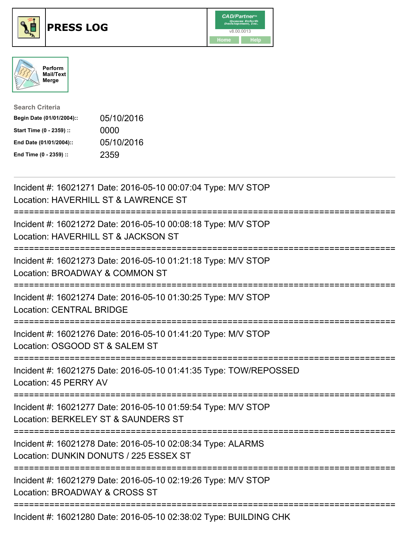





| <b>Search Criteria</b>    |            |
|---------------------------|------------|
| Begin Date (01/01/2004):: | 05/10/2016 |
| Start Time (0 - 2359) ::  | 0000       |
| End Date (01/01/2004)::   | 05/10/2016 |
| End Time (0 - 2359) ::    | 2359       |

| Incident #: 16021271 Date: 2016-05-10 00:07:04 Type: M/V STOP<br>Location: HAVERHILL ST & LAWRENCE ST         |
|---------------------------------------------------------------------------------------------------------------|
| Incident #: 16021272 Date: 2016-05-10 00:08:18 Type: M/V STOP<br>Location: HAVERHILL ST & JACKSON ST          |
| Incident #: 16021273 Date: 2016-05-10 01:21:18 Type: M/V STOP<br>Location: BROADWAY & COMMON ST               |
| Incident #: 16021274 Date: 2016-05-10 01:30:25 Type: M/V STOP<br><b>Location: CENTRAL BRIDGE</b>              |
| Incident #: 16021276 Date: 2016-05-10 01:41:20 Type: M/V STOP<br>Location: OSGOOD ST & SALEM ST               |
| Incident #: 16021275 Date: 2016-05-10 01:41:35 Type: TOW/REPOSSED<br>Location: 45 PERRY AV<br>--------------- |
| Incident #: 16021277 Date: 2016-05-10 01:59:54 Type: M/V STOP<br>Location: BERKELEY ST & SAUNDERS ST          |
| Incident #: 16021278 Date: 2016-05-10 02:08:34 Type: ALARMS<br>Location: DUNKIN DONUTS / 225 ESSEX ST         |
| Incident #: 16021279 Date: 2016-05-10 02:19:26 Type: M/V STOP<br>Location: BROADWAY & CROSS ST                |
| $\mu_{\text{e}}$ and $\mu_{\text{e}}$ 40004000 Detair 0040 0E 40.00:00:00 Times DUILDINO OUL                  |

Incident #: 16021280 Date: 2016-05-10 02:38:02 Type: BUILDING CHK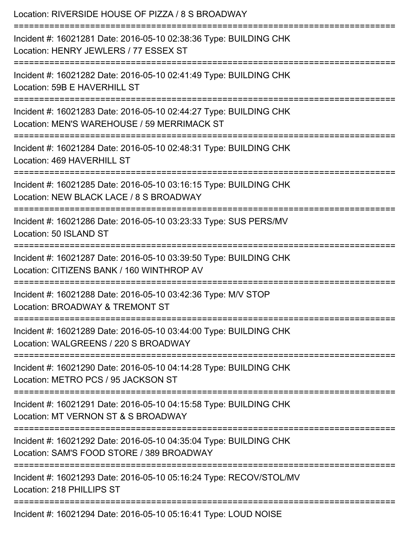| Location: RIVERSIDE HOUSE OF PIZZA / 8 S BROADWAY                                                                                                                         |
|---------------------------------------------------------------------------------------------------------------------------------------------------------------------------|
| Incident #: 16021281 Date: 2016-05-10 02:38:36 Type: BUILDING CHK<br>Location: HENRY JEWLERS / 77 ESSEX ST                                                                |
| Incident #: 16021282 Date: 2016-05-10 02:41:49 Type: BUILDING CHK<br>Location: 59B E HAVERHILL ST                                                                         |
| Incident #: 16021283 Date: 2016-05-10 02:44:27 Type: BUILDING CHK<br>Location: MEN'S WAREHOUSE / 59 MERRIMACK ST                                                          |
| Incident #: 16021284 Date: 2016-05-10 02:48:31 Type: BUILDING CHK<br>Location: 469 HAVERHILL ST<br>===============================<br>=================================== |
| Incident #: 16021285 Date: 2016-05-10 03:16:15 Type: BUILDING CHK<br>Location: NEW BLACK LACE / 8 S BROADWAY                                                              |
| Incident #: 16021286 Date: 2016-05-10 03:23:33 Type: SUS PERS/MV<br>Location: 50 ISLAND ST                                                                                |
| =========================<br>Incident #: 16021287 Date: 2016-05-10 03:39:50 Type: BUILDING CHK<br>Location: CITIZENS BANK / 160 WINTHROP AV                               |
| Incident #: 16021288 Date: 2016-05-10 03:42:36 Type: M/V STOP<br>Location: BROADWAY & TREMONT ST                                                                          |
| Incident #: 16021289 Date: 2016-05-10 03:44:00 Type: BUILDING CHK<br>Location: WALGREENS / 220 S BROADWAY                                                                 |
| Incident #: 16021290 Date: 2016-05-10 04:14:28 Type: BUILDING CHK<br>Location: METRO PCS / 95 JACKSON ST                                                                  |
| Incident #: 16021291 Date: 2016-05-10 04:15:58 Type: BUILDING CHK<br>Location: MT VERNON ST & S BROADWAY                                                                  |
| Incident #: 16021292 Date: 2016-05-10 04:35:04 Type: BUILDING CHK<br>Location: SAM'S FOOD STORE / 389 BROADWAY                                                            |
| Incident #: 16021293 Date: 2016-05-10 05:16:24 Type: RECOV/STOL/MV<br>Location: 218 PHILLIPS ST                                                                           |
| Incident #: 16021294 Date: 2016-05-10 05:16:41 Type: LOUD NOISE                                                                                                           |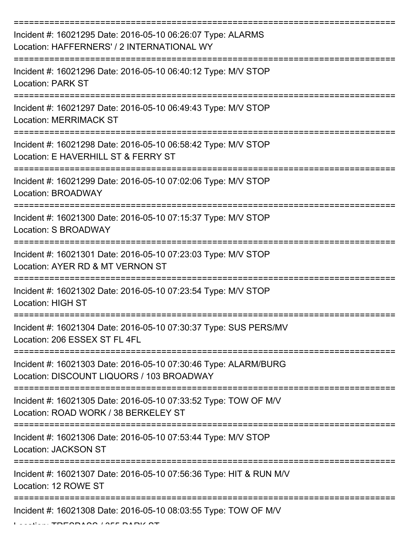| Incident #: 16021295 Date: 2016-05-10 06:26:07 Type: ALARMS<br>Location: HAFFERNERS' / 2 INTERNATIONAL WY    |
|--------------------------------------------------------------------------------------------------------------|
| Incident #: 16021296 Date: 2016-05-10 06:40:12 Type: M/V STOP<br><b>Location: PARK ST</b>                    |
| Incident #: 16021297 Date: 2016-05-10 06:49:43 Type: M/V STOP<br><b>Location: MERRIMACK ST</b>               |
| Incident #: 16021298 Date: 2016-05-10 06:58:42 Type: M/V STOP<br>Location: E HAVERHILL ST & FERRY ST         |
| Incident #: 16021299 Date: 2016-05-10 07:02:06 Type: M/V STOP<br>Location: BROADWAY                          |
| Incident #: 16021300 Date: 2016-05-10 07:15:37 Type: M/V STOP<br><b>Location: S BROADWAY</b>                 |
| Incident #: 16021301 Date: 2016-05-10 07:23:03 Type: M/V STOP<br>Location: AYER RD & MT VERNON ST            |
| Incident #: 16021302 Date: 2016-05-10 07:23:54 Type: M/V STOP<br><b>Location: HIGH ST</b>                    |
| Incident #: 16021304 Date: 2016-05-10 07:30:37 Type: SUS PERS/MV<br>Location: 206 ESSEX ST FL 4FL            |
| Incident #: 16021303 Date: 2016-05-10 07:30:46 Type: ALARM/BURG<br>Location: DISCOUNT LIQUORS / 103 BROADWAY |
| Incident #: 16021305 Date: 2016-05-10 07:33:52 Type: TOW OF M/V<br>Location: ROAD WORK / 38 BERKELEY ST      |
| Incident #: 16021306 Date: 2016-05-10 07:53:44 Type: M/V STOP<br>Location: JACKSON ST                        |
| Incident #: 16021307 Date: 2016-05-10 07:56:36 Type: HIT & RUN M/V<br>Location: 12 ROWE ST                   |
| Incident #: 16021308 Date: 2016-05-10 08:03:55 Type: TOW OF M/V                                              |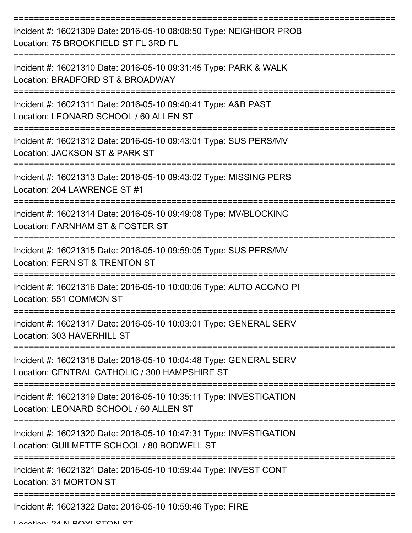| Incident #: 16021309 Date: 2016-05-10 08:08:50 Type: NEIGHBOR PROB<br>Location: 75 BROOKFIELD ST FL 3RD FL         |
|--------------------------------------------------------------------------------------------------------------------|
| Incident #: 16021310 Date: 2016-05-10 09:31:45 Type: PARK & WALK<br>Location: BRADFORD ST & BROADWAY               |
| Incident #: 16021311 Date: 2016-05-10 09:40:41 Type: A&B PAST<br>Location: LEONARD SCHOOL / 60 ALLEN ST            |
| Incident #: 16021312 Date: 2016-05-10 09:43:01 Type: SUS PERS/MV<br>Location: JACKSON ST & PARK ST                 |
| Incident #: 16021313 Date: 2016-05-10 09:43:02 Type: MISSING PERS<br>Location: 204 LAWRENCE ST #1                  |
| Incident #: 16021314 Date: 2016-05-10 09:49:08 Type: MV/BLOCKING<br>Location: FARNHAM ST & FOSTER ST               |
| Incident #: 16021315 Date: 2016-05-10 09:59:05 Type: SUS PERS/MV<br><b>Location: FERN ST &amp; TRENTON ST</b>      |
| Incident #: 16021316 Date: 2016-05-10 10:00:06 Type: AUTO ACC/NO PI<br>Location: 551 COMMON ST                     |
| Incident #: 16021317 Date: 2016-05-10 10:03:01 Type: GENERAL SERV<br>Location: 303 HAVERHILL ST                    |
| Incident #: 16021318 Date: 2016-05-10 10:04:48 Type: GENERAL SERV<br>Location: CENTRAL CATHOLIC / 300 HAMPSHIRE ST |
| Incident #: 16021319 Date: 2016-05-10 10:35:11 Type: INVESTIGATION<br>Location: LEONARD SCHOOL / 60 ALLEN ST       |
| Incident #: 16021320 Date: 2016-05-10 10:47:31 Type: INVESTIGATION<br>Location: GUILMETTE SCHOOL / 80 BODWELL ST   |
| Incident #: 16021321 Date: 2016-05-10 10:59:44 Type: INVEST CONT<br>Location: 31 MORTON ST                         |
| Incident #: 16021322 Date: 2016-05-10 10:59:46 Type: FIRE                                                          |

Location: 24 N BOVI STON ST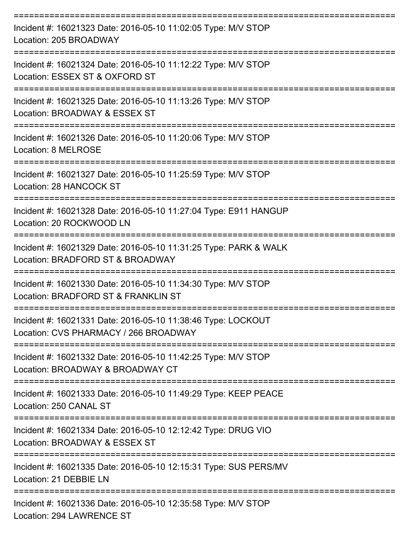| Incident #: 16021323 Date: 2016-05-10 11:02:05 Type: M/V STOP<br>Location: 205 BROADWAY               |
|-------------------------------------------------------------------------------------------------------|
| Incident #: 16021324 Date: 2016-05-10 11:12:22 Type: M/V STOP<br>Location: ESSEX ST & OXFORD ST       |
| Incident #: 16021325 Date: 2016-05-10 11:13:26 Type: M/V STOP<br>Location: BROADWAY & ESSEX ST        |
| Incident #: 16021326 Date: 2016-05-10 11:20:06 Type: M/V STOP<br>Location: 8 MELROSE                  |
| Incident #: 16021327 Date: 2016-05-10 11:25:59 Type: M/V STOP<br>Location: 28 HANCOCK ST              |
| Incident #: 16021328 Date: 2016-05-10 11:27:04 Type: E911 HANGUP<br>Location: 20 ROCKWOOD LN          |
| Incident #: 16021329 Date: 2016-05-10 11:31:25 Type: PARK & WALK<br>Location: BRADFORD ST & BROADWAY  |
| Incident #: 16021330 Date: 2016-05-10 11:34:30 Type: M/V STOP<br>Location: BRADFORD ST & FRANKLIN ST  |
| Incident #: 16021331 Date: 2016-05-10 11:38:46 Type: LOCKOUT<br>Location: CVS PHARMACY / 266 BROADWAY |
| Incident #: 16021332 Date: 2016-05-10 11:42:25 Type: M/V STOP<br>Location: BROADWAY & BROADWAY CT     |
| Incident #: 16021333 Date: 2016-05-10 11:49:29 Type: KEEP PEACE<br>Location: 250 CANAL ST             |
| Incident #: 16021334 Date: 2016-05-10 12:12:42 Type: DRUG VIO<br>Location: BROADWAY & ESSEX ST        |
| Incident #: 16021335 Date: 2016-05-10 12:15:31 Type: SUS PERS/MV<br>Location: 21 DEBBIE LN            |
| Incident #: 16021336 Date: 2016-05-10 12:35:58 Type: M/V STOP<br>Location: 294 LAWRENCE ST            |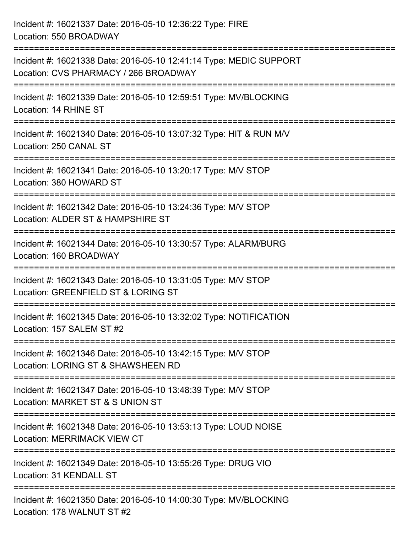Incident #: 16021337 Date: 2016-05-10 12:36:22 Type: FIRE Location: 550 BROADWAY =========================================================================== Incident #: 16021338 Date: 2016-05-10 12:41:14 Type: MEDIC SUPPORT Location: CVS PHARMACY / 266 BROADWAY =========================================================================== Incident #: 16021339 Date: 2016-05-10 12:59:51 Type: MV/BLOCKING Location: 14 RHINE ST =========================================================================== Incident #: 16021340 Date: 2016-05-10 13:07:32 Type: HIT & RUN M/V Location: 250 CANAL ST =========================================================================== Incident #: 16021341 Date: 2016-05-10 13:20:17 Type: M/V STOP Location: 380 HOWARD ST =========================================================================== Incident #: 16021342 Date: 2016-05-10 13:24:36 Type: M/V STOP Location: ALDER ST & HAMPSHIRE ST =========================================================================== Incident #: 16021344 Date: 2016-05-10 13:30:57 Type: ALARM/BURG Location: 160 BROADWAY =========================================================================== Incident #: 16021343 Date: 2016-05-10 13:31:05 Type: M/V STOP Location: GREENFIELD ST & LORING ST =========================================================================== Incident #: 16021345 Date: 2016-05-10 13:32:02 Type: NOTIFICATION Location: 157 SALEM ST #2 =========================================================================== Incident #: 16021346 Date: 2016-05-10 13:42:15 Type: M/V STOP Location: LORING ST & SHAWSHEEN RD =========================================================================== Incident #: 16021347 Date: 2016-05-10 13:48:39 Type: M/V STOP Location: MARKET ST & S UNION ST =========================================================================== Incident #: 16021348 Date: 2016-05-10 13:53:13 Type: LOUD NOISE Location: MERRIMACK VIEW CT =========================================================================== Incident #: 16021349 Date: 2016-05-10 13:55:26 Type: DRUG VIO Location: 31 KENDALL ST =========================================================================== Incident #: 16021350 Date: 2016-05-10 14:00:30 Type: MV/BLOCKING Location: 178 WALNUT ST #2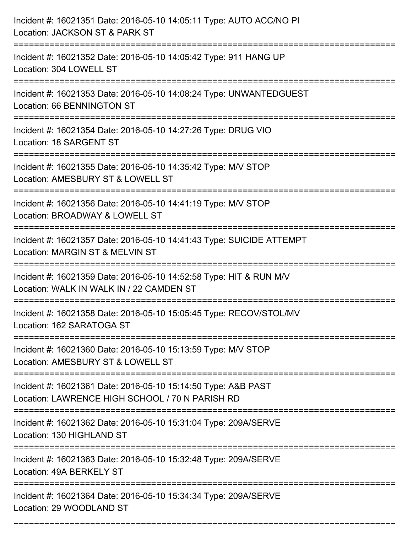| Incident #: 16021351 Date: 2016-05-10 14:05:11 Type: AUTO ACC/NO PI<br>Location: JACKSON ST & PARK ST                           |
|---------------------------------------------------------------------------------------------------------------------------------|
| Incident #: 16021352 Date: 2016-05-10 14:05:42 Type: 911 HANG UP<br>Location: 304 LOWELL ST                                     |
| Incident #: 16021353 Date: 2016-05-10 14:08:24 Type: UNWANTEDGUEST<br><b>Location: 66 BENNINGTON ST</b>                         |
| Incident #: 16021354 Date: 2016-05-10 14:27:26 Type: DRUG VIO<br>Location: 18 SARGENT ST                                        |
| Incident #: 16021355 Date: 2016-05-10 14:35:42 Type: M/V STOP<br>Location: AMESBURY ST & LOWELL ST                              |
| Incident #: 16021356 Date: 2016-05-10 14:41:19 Type: M/V STOP<br>Location: BROADWAY & LOWELL ST                                 |
| Incident #: 16021357 Date: 2016-05-10 14:41:43 Type: SUICIDE ATTEMPT<br>Location: MARGIN ST & MELVIN ST<br>==================== |
| Incident #: 16021359 Date: 2016-05-10 14:52:58 Type: HIT & RUN M/V<br>Location: WALK IN WALK IN / 22 CAMDEN ST                  |
| Incident #: 16021358 Date: 2016-05-10 15:05:45 Type: RECOV/STOL/MV<br>Location: 162 SARATOGA ST                                 |
| Incident #: 16021360 Date: 2016-05-10 15:13:59 Type: M/V STOP<br>Location: AMESBURY ST & LOWELL ST                              |
| Incident #: 16021361 Date: 2016-05-10 15:14:50 Type: A&B PAST<br>Location: LAWRENCE HIGH SCHOOL / 70 N PARISH RD                |
| Incident #: 16021362 Date: 2016-05-10 15:31:04 Type: 209A/SERVE<br>Location: 130 HIGHLAND ST                                    |
| Incident #: 16021363 Date: 2016-05-10 15:32:48 Type: 209A/SERVE<br>Location: 49A BERKELY ST                                     |
| Incident #: 16021364 Date: 2016-05-10 15:34:34 Type: 209A/SERVE<br>Location: 29 WOODLAND ST                                     |

===========================================================================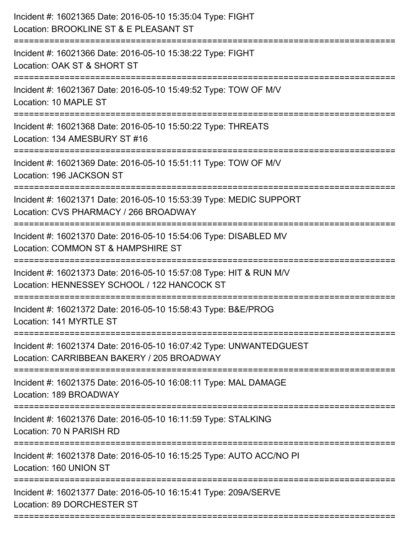| Incident #: 16021365 Date: 2016-05-10 15:35:04 Type: FIGHT<br>Location: BROOKLINE ST & E PLEASANT ST<br>====================== |
|--------------------------------------------------------------------------------------------------------------------------------|
| Incident #: 16021366 Date: 2016-05-10 15:38:22 Type: FIGHT<br>Location: OAK ST & SHORT ST                                      |
| Incident #: 16021367 Date: 2016-05-10 15:49:52 Type: TOW OF M/V<br>Location: 10 MAPLE ST                                       |
| Incident #: 16021368 Date: 2016-05-10 15:50:22 Type: THREATS<br>Location: 134 AMESBURY ST #16                                  |
| Incident #: 16021369 Date: 2016-05-10 15:51:11 Type: TOW OF M/V<br>Location: 196 JACKSON ST                                    |
| Incident #: 16021371 Date: 2016-05-10 15:53:39 Type: MEDIC SUPPORT<br>Location: CVS PHARMACY / 266 BROADWAY                    |
| Incident #: 16021370 Date: 2016-05-10 15:54:06 Type: DISABLED MV<br>Location: COMMON ST & HAMPSHIRE ST<br>==================   |
| Incident #: 16021373 Date: 2016-05-10 15:57:08 Type: HIT & RUN M/V<br>Location: HENNESSEY SCHOOL / 122 HANCOCK ST              |
| Incident #: 16021372 Date: 2016-05-10 15:58:43 Type: B&E/PROG<br>Location: 141 MYRTLE ST                                       |
| Incident #: 16021374 Date: 2016-05-10 16:07:42 Type: UNWANTEDGUEST<br>Location: CARRIBBEAN BAKERY / 205 BROADWAY               |
| Incident #: 16021375 Date: 2016-05-10 16:08:11 Type: MAL DAMAGE<br>Location: 189 BROADWAY                                      |
| Incident #: 16021376 Date: 2016-05-10 16:11:59 Type: STALKING<br>Location: 70 N PARISH RD                                      |
| Incident #: 16021378 Date: 2016-05-10 16:15:25 Type: AUTO ACC/NO PI<br>Location: 160 UNION ST                                  |
| Incident #: 16021377 Date: 2016-05-10 16:15:41 Type: 209A/SERVE<br>Location: 89 DORCHESTER ST                                  |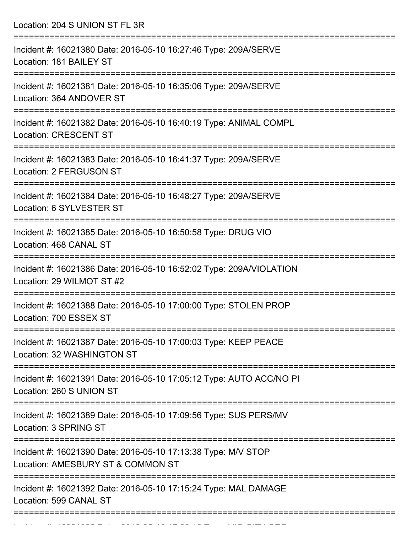Location: 204 S UNION ST FL 3R

| Incident #: 16021380 Date: 2016-05-10 16:27:46 Type: 209A/SERVE<br>Location: 181 BAILEY ST         |
|----------------------------------------------------------------------------------------------------|
| Incident #: 16021381 Date: 2016-05-10 16:35:06 Type: 209A/SERVE<br>Location: 364 ANDOVER ST        |
| Incident #: 16021382 Date: 2016-05-10 16:40:19 Type: ANIMAL COMPL<br><b>Location: CRESCENT ST</b>  |
| Incident #: 16021383 Date: 2016-05-10 16:41:37 Type: 209A/SERVE<br>Location: 2 FERGUSON ST         |
| Incident #: 16021384 Date: 2016-05-10 16:48:27 Type: 209A/SERVE<br>Location: 6 SYLVESTER ST        |
| Incident #: 16021385 Date: 2016-05-10 16:50:58 Type: DRUG VIO<br>Location: 468 CANAL ST            |
| Incident #: 16021386 Date: 2016-05-10 16:52:02 Type: 209A/VIOLATION<br>Location: 29 WILMOT ST #2   |
| Incident #: 16021388 Date: 2016-05-10 17:00:00 Type: STOLEN PROP<br>Location: 700 ESSEX ST         |
| Incident #: 16021387 Date: 2016-05-10 17:00:03 Type: KEEP PEACE<br>Location: 32 WASHINGTON ST      |
| Incident #: 16021391 Date: 2016-05-10 17:05:12 Type: AUTO ACC/NO PI<br>Location: 260 S UNION ST    |
| Incident #: 16021389 Date: 2016-05-10 17:09:56 Type: SUS PERS/MV<br>Location: 3 SPRING ST          |
| Incident #: 16021390 Date: 2016-05-10 17:13:38 Type: M/V STOP<br>Location: AMESBURY ST & COMMON ST |
| Incident #: 16021392 Date: 2016-05-10 17:15:24 Type: MAL DAMAGE<br>Location: 599 CANAL ST          |
|                                                                                                    |

Incident #: 16021393 Date: 2016 05 10 17:22:12 Type: VIO CITY ORD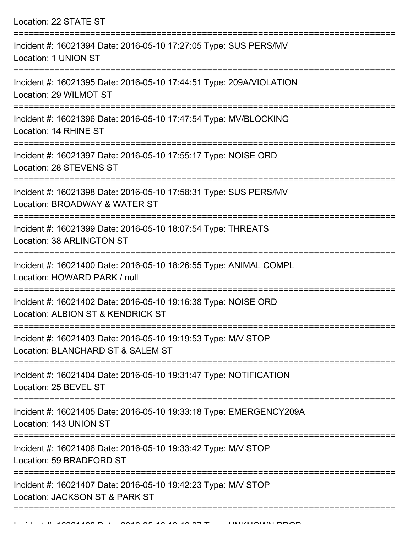| Location: 22 STATE ST                                                                                                      |
|----------------------------------------------------------------------------------------------------------------------------|
| Incident #: 16021394 Date: 2016-05-10 17:27:05 Type: SUS PERS/MV<br>Location: 1 UNION ST                                   |
| Incident #: 16021395 Date: 2016-05-10 17:44:51 Type: 209A/VIOLATION<br>Location: 29 WILMOT ST                              |
| Incident #: 16021396 Date: 2016-05-10 17:47:54 Type: MV/BLOCKING<br>Location: 14 RHINE ST                                  |
| Incident #: 16021397 Date: 2016-05-10 17:55:17 Type: NOISE ORD<br>Location: 28 STEVENS ST                                  |
| Incident #: 16021398 Date: 2016-05-10 17:58:31 Type: SUS PERS/MV<br>Location: BROADWAY & WATER ST<br>:==================== |
| Incident #: 16021399 Date: 2016-05-10 18:07:54 Type: THREATS<br><b>Location: 38 ARLINGTON ST</b>                           |
| Incident #: 16021400 Date: 2016-05-10 18:26:55 Type: ANIMAL COMPL<br>Location: HOWARD PARK / null                          |
| Incident #: 16021402 Date: 2016-05-10 19:16:38 Type: NOISE ORD<br>Location: ALBION ST & KENDRICK ST                        |
| Incident #: 16021403 Date: 2016-05-10 19:19:53 Type: M/V STOP<br>Location: BLANCHARD ST & SALEM ST                         |
| Incident #: 16021404 Date: 2016-05-10 19:31:47 Type: NOTIFICATION<br>Location: 25 BEVEL ST                                 |
| Incident #: 16021405 Date: 2016-05-10 19:33:18 Type: EMERGENCY209A<br>Location: 143 UNION ST                               |
| Incident #: 16021406 Date: 2016-05-10 19:33:42 Type: M/V STOP<br>Location: 59 BRADFORD ST                                  |
| Incident #: 16021407 Date: 2016-05-10 19:42:23 Type: M/V STOP<br>Location: JACKSON ST & PARK ST                            |
|                                                                                                                            |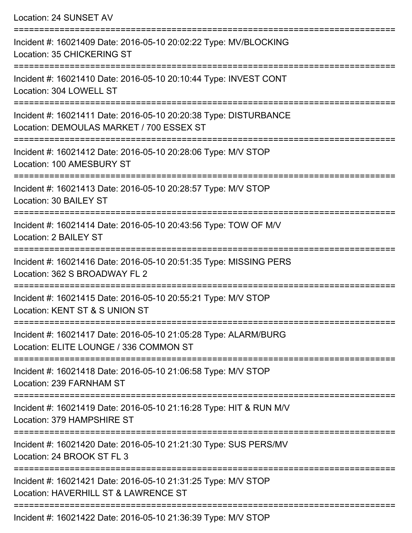| Location: 24 SUNSET AV                                                                                                                              |
|-----------------------------------------------------------------------------------------------------------------------------------------------------|
| Incident #: 16021409 Date: 2016-05-10 20:02:22 Type: MV/BLOCKING<br>Location: 35 CHICKERING ST<br>======================================            |
| Incident #: 16021410 Date: 2016-05-10 20:10:44 Type: INVEST CONT<br>Location: 304 LOWELL ST                                                         |
| Incident #: 16021411 Date: 2016-05-10 20:20:38 Type: DISTURBANCE<br>Location: DEMOULAS MARKET / 700 ESSEX ST<br>=================================   |
| Incident #: 16021412 Date: 2016-05-10 20:28:06 Type: M/V STOP<br>Location: 100 AMESBURY ST                                                          |
| Incident #: 16021413 Date: 2016-05-10 20:28:57 Type: M/V STOP<br>Location: 30 BAILEY ST<br>:===================================<br>================ |
| Incident #: 16021414 Date: 2016-05-10 20:43:56 Type: TOW OF M/V<br>Location: 2 BAILEY ST                                                            |
| Incident #: 16021416 Date: 2016-05-10 20:51:35 Type: MISSING PERS<br>Location: 362 S BROADWAY FL 2                                                  |
| Incident #: 16021415 Date: 2016-05-10 20:55:21 Type: M/V STOP<br>Location: KENT ST & S UNION ST                                                     |
| Incident #: 16021417 Date: 2016-05-10 21:05:28 Type: ALARM/BURG<br>Location: ELITE LOUNGE / 336 COMMON ST                                           |
| Incident #: 16021418 Date: 2016-05-10 21:06:58 Type: M/V STOP<br>Location: 239 FARNHAM ST                                                           |
| Incident #: 16021419 Date: 2016-05-10 21:16:28 Type: HIT & RUN M/V<br>Location: 379 HAMPSHIRE ST                                                    |
| Incident #: 16021420 Date: 2016-05-10 21:21:30 Type: SUS PERS/MV<br>Location: 24 BROOK ST FL 3                                                      |
| Incident #: 16021421 Date: 2016-05-10 21:31:25 Type: M/V STOP<br>Location: HAVERHILL ST & LAWRENCE ST                                               |
|                                                                                                                                                     |

Incident #: 16021422 Date: 2016-05-10 21:36:39 Type: M/V STOP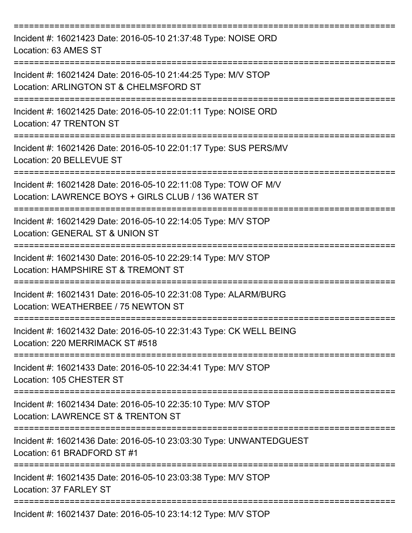| Incident #: 16021423 Date: 2016-05-10 21:37:48 Type: NOISE ORD<br>Location: 63 AMES ST                                                                   |
|----------------------------------------------------------------------------------------------------------------------------------------------------------|
| Incident #: 16021424 Date: 2016-05-10 21:44:25 Type: M/V STOP<br>Location: ARLINGTON ST & CHELMSFORD ST                                                  |
| Incident #: 16021425 Date: 2016-05-10 22:01:11 Type: NOISE ORD<br><b>Location: 47 TRENTON ST</b>                                                         |
| Incident #: 16021426 Date: 2016-05-10 22:01:17 Type: SUS PERS/MV<br>Location: 20 BELLEVUE ST                                                             |
| Incident #: 16021428 Date: 2016-05-10 22:11:08 Type: TOW OF M/V<br>Location: LAWRENCE BOYS + GIRLS CLUB / 136 WATER ST<br>============================== |
| Incident #: 16021429 Date: 2016-05-10 22:14:05 Type: M/V STOP<br>Location: GENERAL ST & UNION ST                                                         |
| Incident #: 16021430 Date: 2016-05-10 22:29:14 Type: M/V STOP<br>Location: HAMPSHIRE ST & TREMONT ST                                                     |
| Incident #: 16021431 Date: 2016-05-10 22:31:08 Type: ALARM/BURG<br>Location: WEATHERBEE / 75 NEWTON ST                                                   |
| Incident #: 16021432 Date: 2016-05-10 22:31:43 Type: CK WELL BEING<br>Location: 220 MERRIMACK ST #518                                                    |
| Incident #: 16021433 Date: 2016-05-10 22:34:41 Type: M/V STOP<br>Location: 105 CHESTER ST                                                                |
| Incident #: 16021434 Date: 2016-05-10 22:35:10 Type: M/V STOP<br>Location: LAWRENCE ST & TRENTON ST                                                      |
| Incident #: 16021436 Date: 2016-05-10 23:03:30 Type: UNWANTEDGUEST<br>Location: 61 BRADFORD ST #1                                                        |
| Incident #: 16021435 Date: 2016-05-10 23:03:38 Type: M/V STOP<br>Location: 37 FARLEY ST                                                                  |
| Incident #: 16021437 Date: 2016-05-10 23:14:12 Type: M/V STOP                                                                                            |